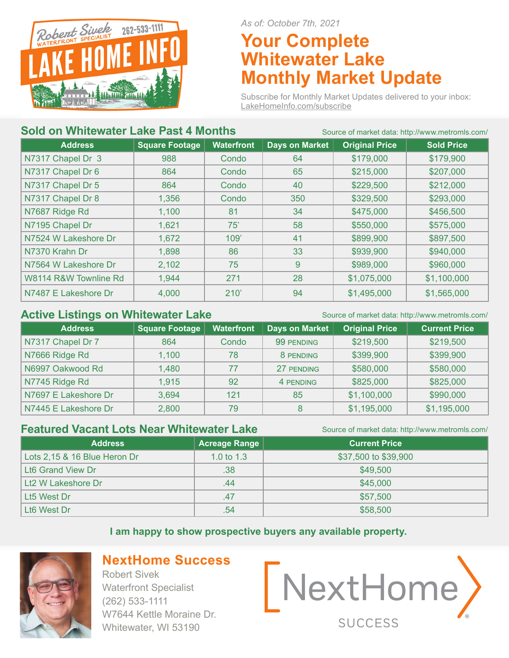

*As of: October 7th, 2021*

# **Your Complete Whitewater Lake Monthly Market Update**

Subscribe for Monthly Market Updates delivered to your inbox: LakeHomeInfo.com/subscribe

### **Sold on Whitewater Lake Past 4 Months** Source of market data: http://www.metromls.com/

| <b>Address</b>        | <b>Square Footage</b> | <b>Waterfront</b> | <b>Days on Market</b> | <b>Original Price</b> | <b>Sold Price</b> |
|-----------------------|-----------------------|-------------------|-----------------------|-----------------------|-------------------|
| N7317 Chapel Dr 3     | 988                   | Condo             | 64                    | \$179,000             | \$179,900         |
| N7317 Chapel Dr 6     | 864                   | Condo             | 65                    | \$215,000             | \$207,000         |
| N7317 Chapel Dr 5     | 864                   | Condo             | 40                    | \$229,500             | \$212,000         |
| N7317 Chapel Dr 8     | 1,356                 | Condo             | 350                   | \$329,500             | \$293,000         |
| N7687 Ridge Rd        | 1,100                 | 81                | 34                    | \$475,000             | \$456,500         |
| N7195 Chapel Dr       | 1,621                 | 75'               | 58                    | \$550,000             | \$575,000         |
| N7524 W Lakeshore Dr  | 1,672                 | 109'              | 41                    | \$899,900             | \$897,500         |
| N7370 Krahn Dr        | 1,898                 | 86                | 33                    | \$939,900             | \$940,000         |
| N7564 W Lakeshore Dr  | 2,102                 | 75                | 9                     | \$989,000             | \$960,000         |
| W8114 R&W Townline Rd | 1,944                 | 271               | 28                    | \$1,075,000           | \$1,100,000       |
| N7487 E Lakeshore Dr  | 4,000                 | 210'              | 94                    | \$1,495,000           | \$1,565,000       |

### **Active Listings on Whitewater Lake** Source of market data: http://www.metromls.com/

| <b>Address</b>       | Square Footage | <b>Waterfront</b> | Days on Market | <b>Original Price</b> | <b>Current Price</b> |
|----------------------|----------------|-------------------|----------------|-----------------------|----------------------|
| N7317 Chapel Dr 7    | 864            | Condo             | 99 PENDING     | \$219,500             | \$219,500            |
| N7666 Ridge Rd       | 1,100          | 78                | 8 PENDING      | \$399,900             | \$399,900            |
| N6997 Oakwood Rd     | 1,480          | 77                | 27 PENDING     | \$580,000             | \$580,000            |
| N7745 Ridge Rd       | 1,915          | 92                | 4 PENDING      | \$825,000             | \$825,000            |
| N7697 E Lakeshore Dr | 3,694          | 121               | 85             | \$1,100,000           | \$990,000            |
| N7445 E Lakeshore Dr | 2,800          | 79                | 8              | \$1,195,000           | \$1,195,000          |

### **Featured Vacant Lots Near Whitewater Lake** Source of market data: http://www.metromls.com/

| <b>Address</b>               | Acreage Range | <b>Current Price</b> |
|------------------------------|---------------|----------------------|
| Lots 2,15 & 16 Blue Heron Dr | 1.0 to $1.3$  | \$37,500 to \$39,900 |
| <b>Lt6 Grand View Dr</b>     | .38           | \$49,500             |
| Lt2 W Lakeshore Dr           | .44           | \$45,000             |
| Lt5 West Dr                  | .47           | \$57,500             |
| Lt <sub>6</sub> West Dr      | .54           | \$58,500             |

#### **I am happy to show prospective buyers any available property.**



## **NextHome Success**

Robert Sivek Waterfront Specialist (262) 533-1111 W7644 Kettle Moraine Dr. Whitewater, WI 53190